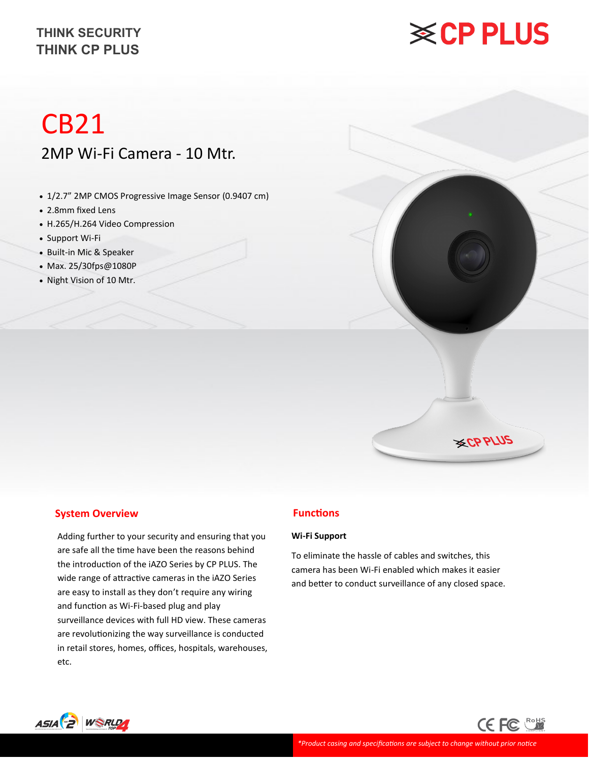# **※CP PLUS**

# CB21 2MP Wi-Fi Camera - 10 Mtr.

- 1/2.7" 2MP CMOS Progressive Image Sensor (0.9407 cm)
- 2.8mm fixed Lens
- H.265/H.264 Video Compression
- Support Wi-Fi
- Built-in Mic & Speaker
- Max. 25/30fps@1080P
- Night Vision of 10 Mtr.



#### **System Overview**

Adding further to your security and ensuring that you are safe all the time have been the reasons behind the introduction of the iAZO Series by CP PLUS. The wide range of attractive cameras in the iAZO Series are easy to install as they don't require any wiring and function as Wi-Fi-based plug and play surveillance devices with full HD view. These cameras are revolutionizing the way surveillance is conducted in retail stores, homes, offices, hospitals, warehouses, etc.

#### **Functions**

#### **Wi-Fi Support**

To eliminate the hassle of cables and switches, this camera has been Wi-Fi enabled which makes it easier and better to conduct surveillance of any closed space.

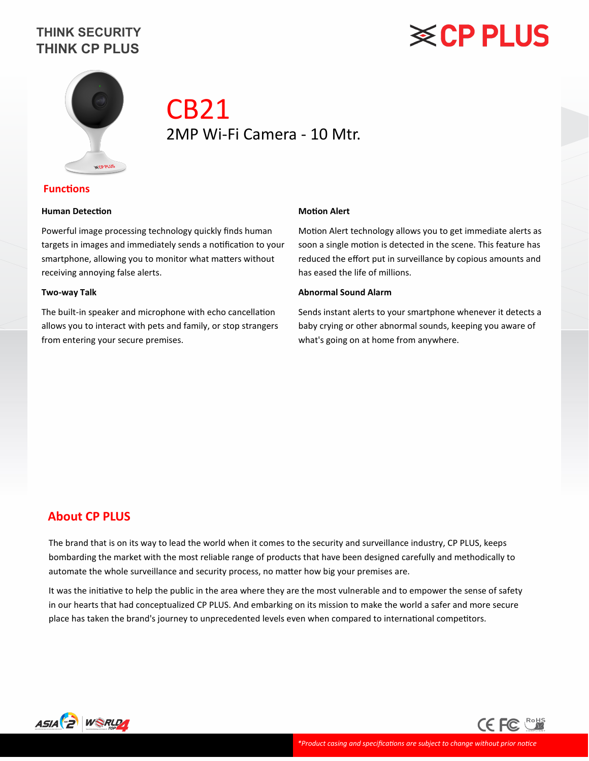# **※CP PLUS**



## CB21 2MP Wi-Fi Camera - 10 Mtr.

#### **Functions**

#### **Human Detection**

Powerful image processing technology quickly finds human targets in images and immediately sends a notification to your smartphone, allowing you to monitor what matters without receiving annoying false alerts.

#### **Two-way Talk**

The built-in speaker and microphone with echo cancellation allows you to interact with pets and family, or stop strangers from entering your secure premises.

#### **Motion Alert**

Motion Alert technology allows you to get immediate alerts as soon a single motion is detected in the scene. This feature has reduced the effort put in surveillance by copious amounts and has eased the life of millions.

#### **Abnormal Sound Alarm**

Sends instant alerts to your smartphone whenever it detects a baby crying or other abnormal sounds, keeping you aware of what's going on at home from anywhere.

#### **About CP PLUS**

The brand that is on its way to lead the world when it comes to the security and surveillance industry, CP PLUS, keeps bombarding the market with the most reliable range of products that have been designed carefully and methodically to automate the whole surveillance and security process, no matter how big your premises are.

It was the initiative to help the public in the area where they are the most vulnerable and to empower the sense of safety in our hearts that had conceptualized CP PLUS. And embarking on its mission to make the world a safer and more secure place has taken the brand's journey to unprecedented levels even when compared to international competitors.



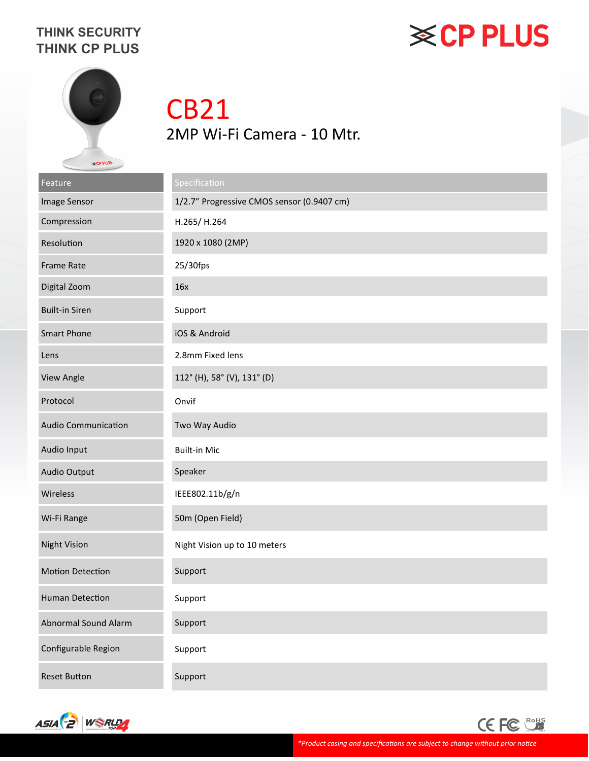# **※CP PLUS**



# CB21 2MP Wi-Fi Camera - 10 Mtr.

| Feature                    | Specification                              |
|----------------------------|--------------------------------------------|
| Image Sensor               | 1/2.7" Progressive CMOS sensor (0.9407 cm) |
| Compression                | H.265/H.264                                |
| Resolution                 | 1920 x 1080 (2MP)                          |
| <b>Frame Rate</b>          | 25/30fps                                   |
| Digital Zoom               | 16x                                        |
| <b>Built-in Siren</b>      | Support                                    |
| <b>Smart Phone</b>         | iOS & Android                              |
| Lens                       | 2.8mm Fixed lens                           |
| View Angle                 | 112° (H), 58° (V), 131° (D)                |
| Protocol                   | Onvif                                      |
| <b>Audio Communication</b> | Two Way Audio                              |
| Audio Input                | <b>Built-in Mic</b>                        |
| Audio Output               | Speaker                                    |
| Wireless                   | IEEE802.11b/g/n                            |
| Wi-Fi Range                | 50m (Open Field)                           |
| <b>Night Vision</b>        | Night Vision up to 10 meters               |
| <b>Motion Detection</b>    | Support                                    |
| <b>Human Detection</b>     | Support                                    |
| Abnormal Sound Alarm       | Support                                    |
| Configurable Region        | Support                                    |
| <b>Reset Button</b>        | Support                                    |